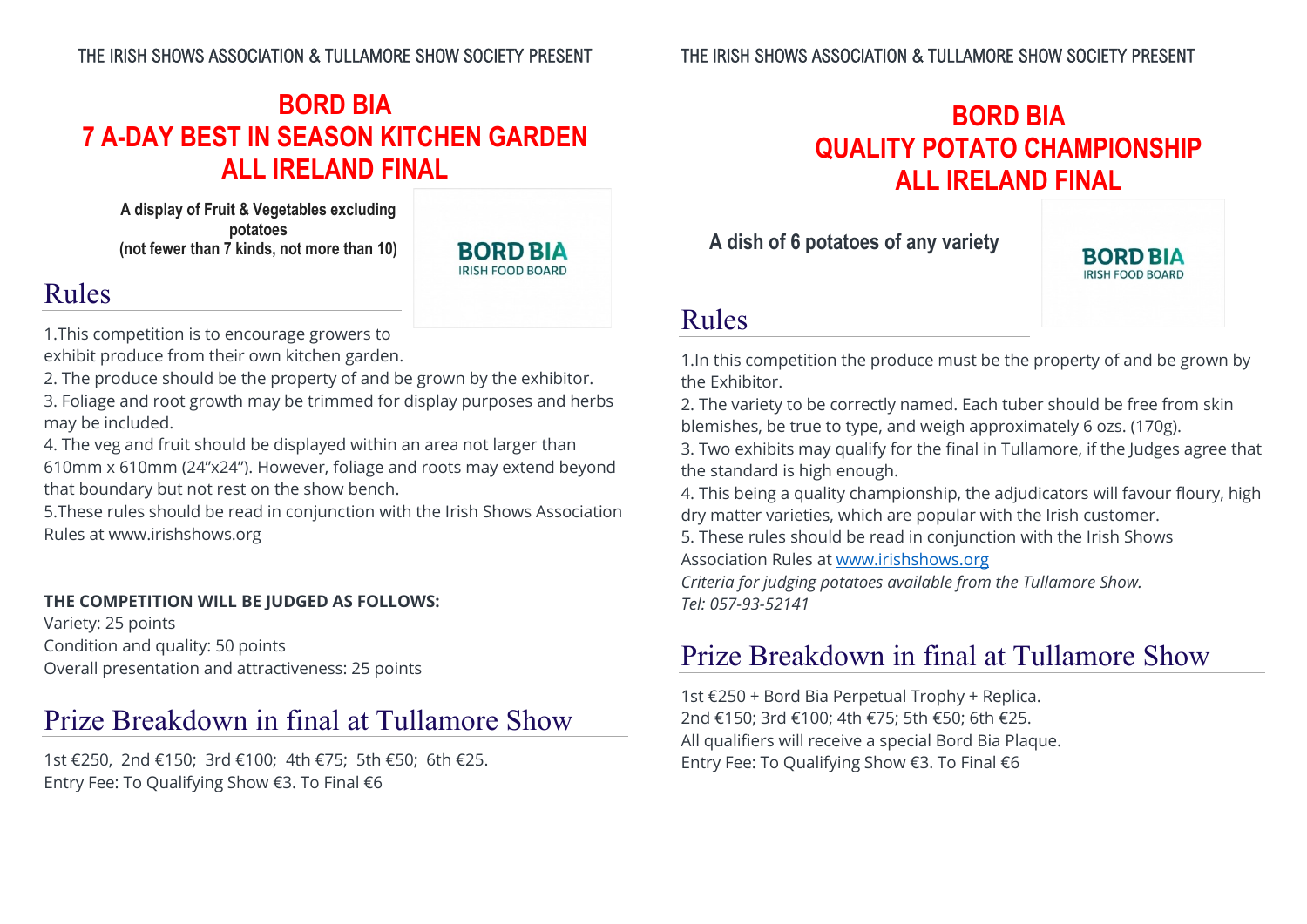## **BORD BIA 7 A-DAY BEST IN SEASON KITCHEN GARDEN ALL IRELAND FINAL**

**A display of Fruit & Vegetables excluding potatoes (not fewer than 7 kinds, not more than 10)**



## Rules

1.This competition is to encourage growers to exhibit produce from their own kitchen garden.

2. The produce should be the property of and be grown by the exhibitor.

3. Foliage and root growth may be trimmed for display purposes and herbs may be included.

4. The veg and fruit should be displayed within an area not larger than 610mm x 610mm (24"x24"). However, foliage and roots may extend beyond that boundary but not rest on the show bench.

5.These rules should be read in conjunction with the Irish Shows Association Rules at [www.irishshows.org](http://www.irishshows.org/)

#### **THE COMPETITION WILL BE JUDGED AS FOLLOWS:**

Variety: 25 points Condition and quality: 50 points Overall presentation and attractiveness: 25 points

### Prize Breakdown in final at Tullamore Show

1st €250, 2nd €150; 3rd €100; 4th €75; 5th €50; 6th €25. Entry Fee: To Qualifying Show €3. To Final €6

# **BORD BIA QUALITY POTATO CHAMPIONSHIP ALL IRELAND FINAL**

**A dish of 6 potatoes of any variety**



### Rules

1.In this competition the produce must be the property of and be grown by the Exhibitor.

2. The variety to be correctly named. Each tuber should be free from skin blemishes, be true to type, and weigh approximately 6 ozs. (170g).

3. Two exhibits may qualify for the final in Tullamore, if the Judges agree that the standard is high enough.

4. This being a quality championship, the adjudicators will favour floury, high dry matter varieties, which are popular with the Irish customer.

5. These rules should be read in conjunction with the Irish Shows Association Rules at [www.irishshows.org](http://www.irishshows.org/)

*Criteria for judging potatoes available from the Tullamore Show. Tel: 057-93-52141*

# Prize Breakdown in final at Tullamore Show

1st €250 + Bord Bia Perpetual Trophy + Replica. 2nd €150; 3rd €100; 4th €75; 5th €50; 6th €25. All qualifiers will receive a special Bord Bia Plaque. Entry Fee: To Qualifying Show €3. To Final €6